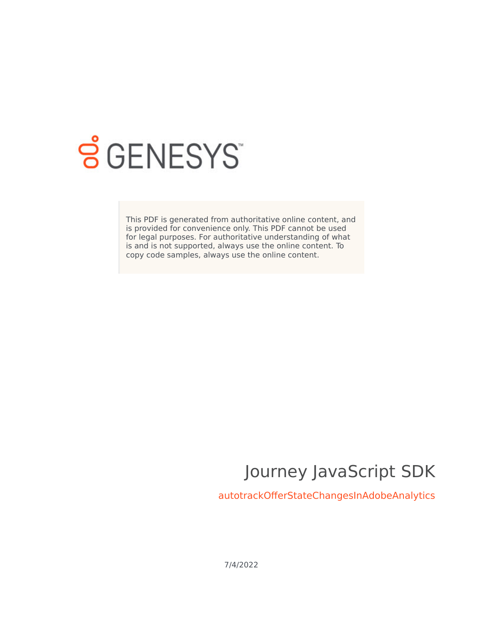

# **SGENESYS**

This PDF is generated from authoritative online content, and is provided for convenience only. This PDF cannot be used for legal purposes. For authoritative understanding of what is and is not supported, always use the online content. To copy code samples, always use the online content.

## Journey JavaScript SDK

autotrackOfferStateChangesInAdobeAnalytics

7/4/2022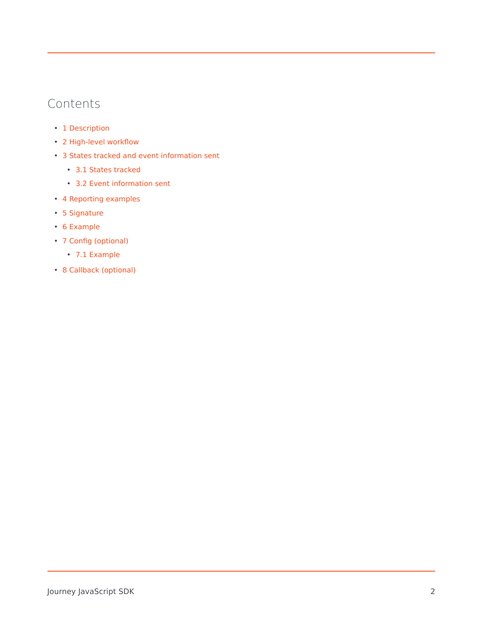## Contents

- 1 [Description](#page-2-0)
- 2 [High-level workflow](#page-4-0)
- 3 [States tracked and event information sent](#page-5-0)
	- 3.1 [States tracked](#page-5-1)
	- 3.2 [Event information sent](#page-5-2)
- 4 [Reporting examples](#page-5-3)
- 5 [Signature](#page-6-0)
- 6 [Example](#page-6-1)
- 7 [Config \(optional\)](#page-6-2)
	- 7.1 [Example](#page-6-3)
- 8 [Callback \(optional\)](#page-7-0)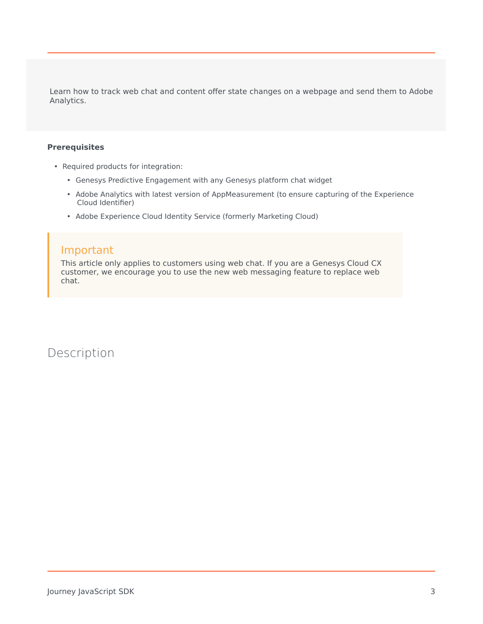Learn how to track web chat and content offer state changes on a webpage and send them to Adobe Analytics.

#### **Prerequisites**

- Required products for integration:
	- Genesys Predictive Engagement with any Genesys platform chat widget
	- Adobe Analytics with latest version of AppMeasurement (to ensure capturing of the Experience Cloud Identifier)
	- Adobe Experience Cloud Identity Service (formerly Marketing Cloud)

#### Important

This article only applies to customers using web chat. If you are a Genesys Cloud CX customer, we encourage you to use the new web messaging feature to replace web chat.

<span id="page-2-0"></span>Description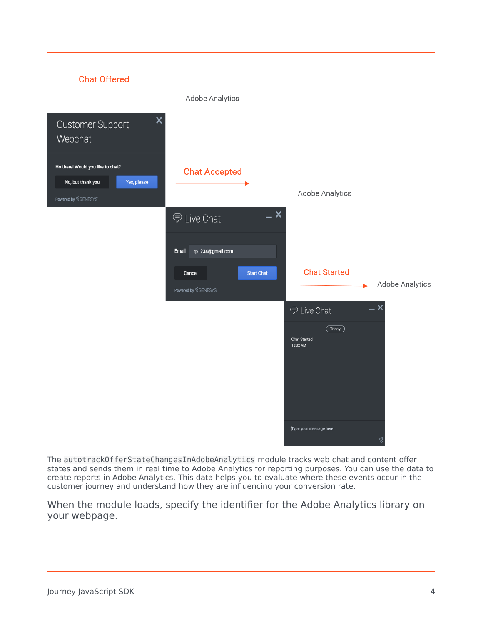

The autotrackOfferStateChangesInAdobeAnalytics module tracks web chat and content offer states and sends them in real time to Adobe Analytics for reporting purposes. You can use the data to create reports in Adobe Analytics. This data helps you to evaluate where these events occur in the customer journey and understand how they are influencing your conversion rate.

When the module loads, specify the identifier for the Adobe Analytics library on your webpage.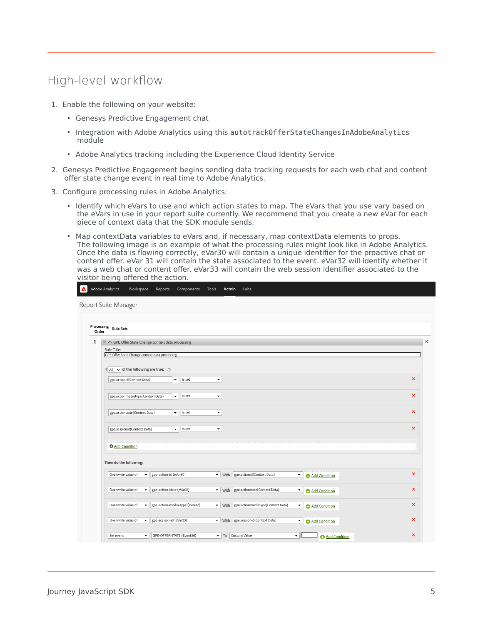## <span id="page-4-0"></span>High-level workflow

- 1. Enable the following on your website:
	- Genesys Predictive Engagement chat
	- Integration with Adobe Analytics using this autotrackOfferStateChangesInAdobeAnalytics module
	- Adobe Analytics tracking including the Experience Cloud Identity Service
- 2. Genesys Predictive Engagement begins sending data tracking requests for each web chat and content offer state change event in real time to Adobe Analytics.
- 3. Configure processing rules in Adobe Analytics:
	- Identify which eVars to use and which action states to map. The eVars that you use vary based on the eVars in use in your report suite currently. We recommend that you create a new eVar for each piece of context data that the SDK module sends.
	- Map contextData variables to eVars and, if necessary, map contextData elements to props. The following image is an example of what the processing rules might look like in Adobe Analytics. Once the data is flowing correctly, eVar30 will contain a unique identifier for the proactive chat or content offer. eVar 31 will contain the state associated to the event. eVar32 will identify whether it was a web chat or content offer. eVar33 will contain the web session identifier associated to the visitor being offered the action.

| Processing<br>Order | <b>Rule Sets</b>                                                       |                           |                                |                                  |                                          |                       |                           |  |  |
|---------------------|------------------------------------------------------------------------|---------------------------|--------------------------------|----------------------------------|------------------------------------------|-----------------------|---------------------------|--|--|
| 1                   | ::: ∧ GPE Offer State Change context data processing                   |                           |                                |                                  |                                          |                       |                           |  |  |
|                     | Rule Title:                                                            |                           |                                |                                  |                                          |                       |                           |  |  |
|                     | GPE Offer State Change context data processing                         |                           |                                |                                  |                                          |                       |                           |  |  |
|                     |                                                                        |                           |                                |                                  |                                          |                       |                           |  |  |
|                     | If $\overline{All}$ $\rightarrow$ of the following are true: $\oslash$ |                           |                                |                                  |                                          |                       |                           |  |  |
|                     | gpe.actionid(Context Data)                                             | $\blacktriangledown$      | is set                         | ۰                                |                                          |                       | $\mathsf{x}$              |  |  |
|                     |                                                                        |                           |                                |                                  |                                          |                       |                           |  |  |
|                     | gpe.actionmediatype(Context Data)                                      | $\blacktriangledown$      | is set                         | $\blacktriangledown$             |                                          |                       | ×                         |  |  |
|                     |                                                                        |                           |                                |                                  |                                          |                       |                           |  |  |
|                     | gpe.actionstate(Context Data)                                          | $\blacktriangledown$      | is set                         | $\blacktriangledown$             |                                          |                       | ×                         |  |  |
|                     |                                                                        |                           |                                |                                  |                                          |                       |                           |  |  |
|                     | gpe.sessionid(Context Data)                                            |                           | is set                         |                                  |                                          |                       | $\boldsymbol{\mathsf{x}}$ |  |  |
|                     |                                                                        |                           |                                |                                  |                                          |                       |                           |  |  |
|                     | <b>O</b> Add Condition                                                 |                           |                                |                                  |                                          |                       |                           |  |  |
|                     |                                                                        |                           |                                |                                  |                                          |                       |                           |  |  |
|                     | Then do the following:                                                 |                           |                                |                                  |                                          |                       |                           |  |  |
|                     | Overwrite value of<br>۰                                                | gpe-action-id (eVar30)    |                                |                                  | ▼ With gpe.actionid(Context Data)        | Add Condition         | $\boldsymbol{\mathsf{x}}$ |  |  |
|                     |                                                                        |                           |                                |                                  |                                          |                       |                           |  |  |
|                     | Overwrite value of<br>٠                                                | gpe-action-state (eVar31) |                                | $\blacktriangledown$             | With gpe.actionstate(Context Data)       | Add Condition         | $\boldsymbol{\mathsf{x}}$ |  |  |
|                     |                                                                        |                           |                                |                                  |                                          |                       |                           |  |  |
|                     | Overwrite value of<br>٠                                                |                           | gpe-action-media-type (eVar32) |                                  | ▼ With gpe.actionmediatype(Context Data) | Add Condition         | $\boldsymbol{\mathsf{x}}$ |  |  |
|                     |                                                                        |                           |                                |                                  |                                          |                       |                           |  |  |
|                     | gpe-session-id (eVar33)<br>Overwrite value of<br>$\blacktriangledown$  |                           | $\mathbf{v}$                   | With gpe.sessionid(Context Data) | Add Condition                            | $\boldsymbol{\times}$ |                           |  |  |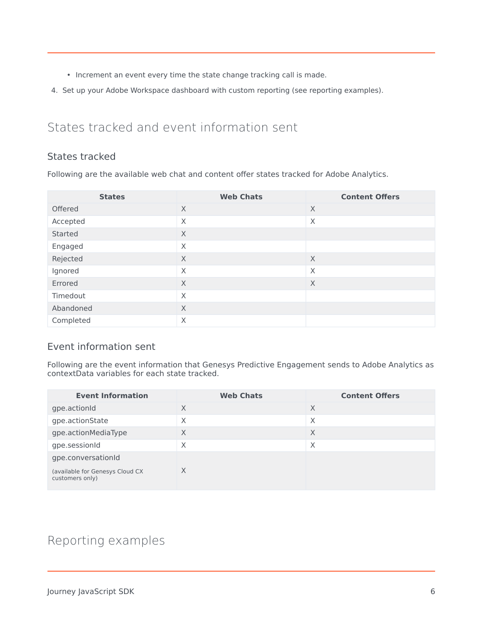- Increment an event every time the state change tracking call is made.
- 4. Set up your Adobe Workspace dashboard with custom reporting (see reporting examples).

## <span id="page-5-0"></span>States tracked and event information sent

#### <span id="page-5-1"></span>States tracked

Following are the available web chat and content offer states tracked for Adobe Analytics.

| <b>States</b> | <b>Web Chats</b> | <b>Content Offers</b> |
|---------------|------------------|-----------------------|
| Offered       | X                | $\times$              |
| Accepted      | X                | $\times$              |
| Started       | X                |                       |
| Engaged       | X                |                       |
| Rejected      | X                | X                     |
| Ignored       | X                | X                     |
| Errored       | X                | X                     |
| Timedout      | X                |                       |
| Abandoned     | X                |                       |
| Completed     | X                |                       |

#### <span id="page-5-2"></span>Event information sent

Following are the event information that Genesys Predictive Engagement sends to Adobe Analytics as contextData variables for each state tracked.

| <b>Event Information</b>                           | <b>Web Chats</b> | <b>Content Offers</b> |
|----------------------------------------------------|------------------|-----------------------|
| gpe.actionId                                       | X                | X                     |
| gpe.actionState                                    | X                | $\times$              |
| gpe.actionMediaType                                | X                | X                     |
| gpe.sessionId                                      | X                | X                     |
| gpe.conversationId                                 |                  |                       |
| (available for Genesys Cloud CX<br>customers only) | X                |                       |

## <span id="page-5-3"></span>Reporting examples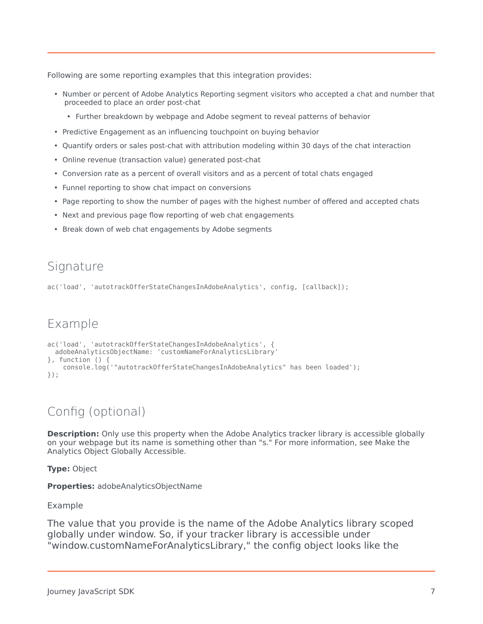Following are some reporting examples that this integration provides:

- Number or percent of Adobe Analytics Reporting segment visitors who accepted a chat and number that proceeded to place an order post-chat
	- Further breakdown by webpage and Adobe segment to reveal patterns of behavior
- Predictive Engagement as an influencing touchpoint on buying behavior
- Quantify orders or sales post-chat with attribution modeling within 30 days of the chat interaction
- Online revenue (transaction value) generated post-chat
- Conversion rate as a percent of overall visitors and as a percent of total chats engaged
- Funnel reporting to show chat impact on conversions
- Page reporting to show the number of pages with the highest number of offered and accepted chats
- Next and previous page flow reporting of web chat engagements
- Break down of web chat engagements by Adobe segments

## <span id="page-6-0"></span>Signature

ac('load', 'autotrackOfferStateChangesInAdobeAnalytics', config, [callback]);

## <span id="page-6-1"></span>Example

```
ac('load', 'autotrackOfferStateChangesInAdobeAnalytics', {
 adobeAnalyticsObjectName: 'customNameForAnalyticsLibrary'
}, function () {
   console.log('"autotrackOfferStateChangesInAdobeAnalytics" has been loaded');
});
```
## <span id="page-6-2"></span>Config (optional)

**Description:** Only use this property when the Adobe Analytics tracker library is accessible globally on your webpage but its name is something other than "s." For more information, see Make the Analytics Object Globally Accessible.

**Type:** Object

**Properties:** adobeAnalyticsObjectName

#### <span id="page-6-3"></span>Example

The value that you provide is the name of the Adobe Analytics library scoped globally under window. So, if your tracker library is accessible under "window.customNameForAnalyticsLibrary," the config object looks like the